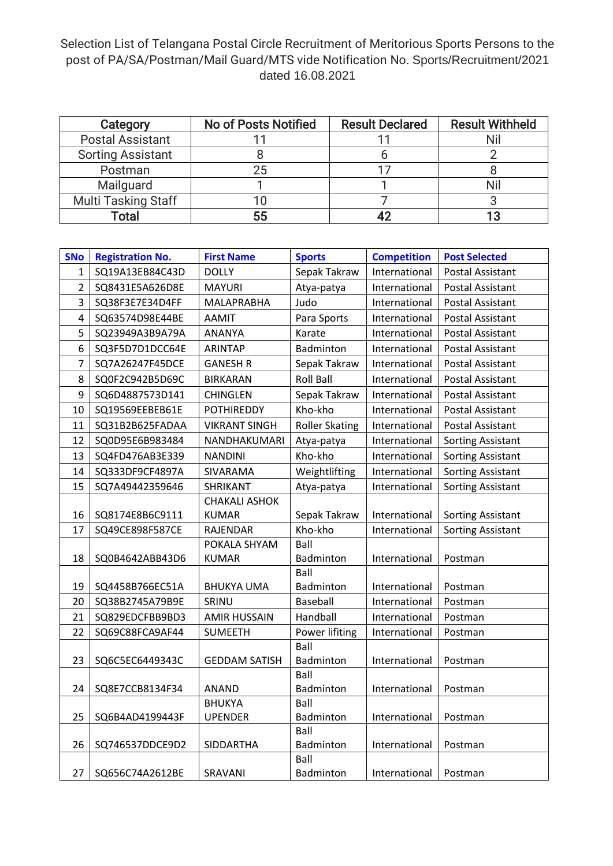## Selection List of Telangana Postal Circle Recruitment of Meritorious Sports Persons to the post of PA/SA/Postman/Mail Guard/MTS vide Notification No. Sports/Recruitment/2021 dated 16.08.2021

| Category                   | <b>No of Posts Notified</b> | <b>Result Declared</b> | <b>Result Withheld</b> |
|----------------------------|-----------------------------|------------------------|------------------------|
| <b>Postal Assistant</b>    |                             |                        |                        |
| <b>Sorting Assistant</b>   |                             |                        |                        |
| Postman                    | 25                          |                        |                        |
| Mailguard                  |                             |                        |                        |
| <b>Multi Tasking Staff</b> |                             |                        |                        |
| Total                      | 55                          |                        |                        |

| <b>SNo</b>              | <b>Registration No.</b> | <b>First Name</b>    | <b>Sports</b>         | <b>Competition</b> | <b>Post Selected</b>     |
|-------------------------|-------------------------|----------------------|-----------------------|--------------------|--------------------------|
| 1                       | SQ19A13EB84C43D         | <b>DOLLY</b>         | Sepak Takraw          | International      | Postal Assistant         |
| $\overline{2}$          | SQ8431E5A626D8E         | <b>MAYURI</b>        | Atya-patya            | International      | Postal Assistant         |
| 3                       | SQ38F3E7E34D4FF         | MALAPRABHA           | Judo                  | International      | Postal Assistant         |
| $\overline{\mathbf{4}}$ | SQ63574D98E44BE         | AAMIT                | Para Sports           | International      | Postal Assistant         |
| 5                       | SQ23949A3B9A79A         | ANANYA               | Karate                | International      | Postal Assistant         |
| 6                       | SQ3F5D7D1DCC64E         | <b>ARINTAP</b>       | Badminton             | International      | Postal Assistant         |
| $\overline{7}$          | SQ7A26247F45DCE         | <b>GANESH R</b>      | Sepak Takraw          | International      | Postal Assistant         |
| 8                       | SQ0F2C942B5D69C         | <b>BIRKARAN</b>      | <b>Roll Ball</b>      | International      | <b>Postal Assistant</b>  |
| 9                       | SQ6D4887573D141         | <b>CHINGLEN</b>      | Sepak Takraw          | International      | Postal Assistant         |
| 10                      | SQ19569EEBEB61E         | <b>POTHIREDDY</b>    | Kho-kho               | International      | Postal Assistant         |
| 11                      | SQ31B2B625FADAA         | <b>VIKRANT SINGH</b> | <b>Roller Skating</b> | International      | Postal Assistant         |
| 12                      | SQ0D95E6B983484         | NANDHAKUMARI         | Atya-patya            | International      | <b>Sorting Assistant</b> |
| 13                      | SQ4FD476AB3E339         | <b>NANDINI</b>       | Kho-kho               | International      | Sorting Assistant        |
| 14                      | SQ333DF9CF4897A         | SIVARAMA             | Weightlifting         | International      | <b>Sorting Assistant</b> |
| 15                      | SQ7A49442359646         | SHRIKANT             | Atya-patya            | International      | <b>Sorting Assistant</b> |
|                         |                         | <b>CHAKALI ASHOK</b> |                       |                    |                          |
| 16                      | SQ8174E8B6C9111         | <b>KUMAR</b>         | Sepak Takraw          | International      | <b>Sorting Assistant</b> |
| 17                      | SQ49CE898F587CE         | RAJENDAR             | Kho-kho               | International      | <b>Sorting Assistant</b> |
|                         |                         | POKALA SHYAM         | Ball                  |                    |                          |
| 18                      | SQ0B4642ABB43D6         | <b>KUMAR</b>         | Badminton             | International      | Postman                  |
|                         |                         |                      | Ball                  |                    |                          |
| 19                      | SQ4458B766EC51A         | <b>BHUKYA UMA</b>    | Badminton             | International      | Postman                  |
| 20                      | SQ38B2745A79B9E         | SRINU                | Baseball              | International      | Postman                  |
| 21                      | SQ829EDCFBB9BD3         | <b>AMIR HUSSAIN</b>  | Handball              | International      | Postman                  |
| 22                      | SQ69C88FCA9AF44         | <b>SUMEETH</b>       | Power lifiting        | International      | Postman                  |
|                         |                         |                      | Ball                  |                    |                          |
| 23                      | SQ6C5EC6449343C         | <b>GEDDAM SATISH</b> | Badminton<br>Ball     | International      | Postman                  |
| 24                      | SQ8E7CCB8134F34         | <b>ANAND</b>         | Badminton             | International      | Postman                  |
|                         |                         | <b>BHUKYA</b>        | Ball                  |                    |                          |
| 25                      | SQ6B4AD4199443F         | <b>UPENDER</b>       | Badminton             | International      | Postman                  |
|                         |                         |                      | Ball                  |                    |                          |
| 26                      | SQ746537DDCE9D2         | <b>SIDDARTHA</b>     | Badminton             | International      | Postman                  |
|                         |                         |                      | Ball                  |                    |                          |
| 27                      | SQ656C74A2612BE         | SRAVANI              | Badminton             | International      | Postman                  |